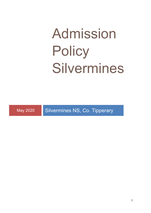# Admission **Policy** Silvermines

May 2020 Silvermines NS, Co. Tipperary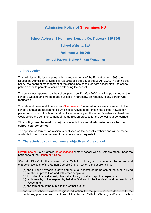# **Admission Policy of Silvermines NS**

**School Address: Silvermines, Nenagh, Co. Tipperary E45 T658**

**School Website: N/A**

**Roll number:15696B**

**School Patron: Bishop Fintan Monaghan**

# **1. Introduction**

This Admission Policy complies with the requirements of the Education Act 1998, the Education (Admission to Schools) Act 2018 and the Equal Status Act 2000. In drafting this policy, the board of management of the school has consulted with school staff, the school patron and with parents of children attending the school.

The policy was approved by the school patron on  $12<sup>th</sup>$  May 2020. It will be published on the school's website and will be made available in hardcopy, on request, to any person who requests it.

The relevant dates and timelines for Silvermines NS admission process are set out in the school's annual admission notice which is conveyed to parents in the school newsletter, placed on school notice board and published annually on the school's website at least one week before the commencement of the admission process for the school year concerned.

#### **This policy must be read in conjunction with the annual admission notice for the school year concerned**.

The application form for admission is published on the school's website and will be made available in hardcopy on request to any person who requests it.

# **2. Characteristic spirit and general objectives of the school**

Silvermines NS is a Catholic co-educationalprimary school with a Catholic ethos under the patronage of the Bishop of Killaloe.

"Catholic Ethos" in the context of a Catholic primary school means the ethos and characteristic spirit of the Roman Catholic Church, which aims at promoting:

- (a) the full and harmonious development of all aspects of the person of the pupil, a living relationship with God and with other people; and
- (b) including the intellectual, physical, cultural, moral and spiritual aspects; and
- (c) a philosophy of life inspired by belief in God and in the life, death and resurrection of Jesus; and
- (d) the formation of the pupils in the Catholic faith;

and which school provides religious education for the pupils in accordance with the doctrines, practices and traditions of the Roman Catholic Church, and/or such ethos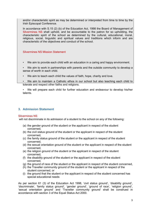and/or characteristic spirit as may be determined or interpreted from time to time by the Irish Episcopal Conference.

In accordance with S.15 (2) (b) of the Education Act, 1998 the Board of Management of Silvermines NS shall uphold, and be accountable to the patron for so upholding, the characteristic spirit of the school as determined by the cultural, educational, moral, religious, social, linguistic and spiritual values and traditions which inform and are characteristic of the objectives and conduct of the school.

Silvermines NS Mission Statement

• We aim to provide each child with an education in a caring and happy environment.

• We aim to work in partnerships with parents and the outside community to develop a sense of worth in each child.

• We aim to teach each child the values of faith, hope, charity and love.

• We aim to maintain a Catholic ethos in our school but also teaching each child to tolerate and respect other faiths and religions.

• We will prepare each child for further education and endeavour to develop his/her talents.

# **3. Admission Statement**

#### Silvermines NS

will not discriminate in its admission of a student to the school on any of the following:

- (a) the gender ground of the student or the applicant in respect of the student concerned,
- (b) the civil status ground of the student or the applicant in respect of the student concerned,
- (c) the family status ground of the student or the applicant in respect of the student concerned,
- (d) the sexual orientation ground of the student or the applicant in respect of the student concerned,
- (e) the religion ground of the student or the applicant in respect of the student concerned,
- (f) the disability ground of the student or the applicant in respect of the student concerned,
- (g) the ground of race of the student or the applicant in respect of the student concerned,
- (h) the Traveller community ground of the student or the applicant in respect of the student concerned, or
- (i) the ground that the student or the applicant in respect of the student concerned has special educational needs

As per section 61 (3) of the Education Act 1998, 'civil status ground', 'disability ground', 'discriminate', 'family status ground', 'gender ground', 'ground of race', 'religion ground', 'sexual orientation ground' and 'Traveller community ground' shall be construed in accordance with section 3 of the Equal Status Act 2000.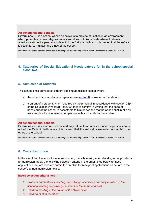#### **All denominational schools**

Silvermines NS is a school whose objective is to provide education in an environment which promotes certain religious values and does not discriminate where it refuses to admit as a student a person who is not of the Catholic faith and it is proved that the refusal is essential to maintain the ethos of the school.

*Note for Parents: the inclusion of the above wording was mandated by the Education (Admission to Schools) Act 2018.*

# **4. Categories of Special Educational Needs catered for in the school/special class. N/A**

# **5. Admission of Students**

This school shall admit each student seeking admission except where –

- a) the school is oversubscribed (please see section 6 below for further details)
- b) a parent of a student, when required by the principal in accordance with section 23(4) of the Education (Welfare) Act 2000, fails to confirm in writing that the code of behaviour of the school is acceptable to him or her and that he or she shall make all reasonable efforts to ensure compliance with such code by the student

#### **All denominational schools**

Silvermines NS is a Catholic school and may refuse to admit as a student a person who is not of the Catholic faith where it is proved that the refusal is essential to maintain the ethos of the school.

*Note for Parents: the inclusion of the above wording was mandated by the Education (Admission to Schools) Act 2018.*

# **6. Oversubscription**

In the event that the school is oversubscribed, the school will, when deciding on applications for admission, apply the following selection criteria in the order listed below to those applications that are received within the timeline for receipt of applications as set out in the school's annual admission notice:

**Insert selection criteria here:**

- *1. Brothers and Sisters, including step siblings of children currently enrolled in the school (including stepsiblings, resident at the same address).*
- *2. Children residing in the parish of the Silvermines.*
- *3. Children of staff members.*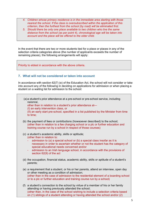- *4. Children whose primary residence is in the immediate area starting with those nearest the school. If the class is oversubscribed within the application of this criterion, then the furthest from the school (by road) will be eliminated first.*
- *5. Should there be only one place available to two children who live the same distance from the school (as per point 4), chronological age will be taken into account and the place will be offered to the older child.*

In the event that there are two or more students tied for a place or places in any of the selection criteria categories above (the number of applicants exceeds the number of remaining places), the following arrangements will apply:

Priority to eldest in accordance with the above criteria.

# **7. What will not be considered or taken into account**

In accordance with section 62(7) (e) of the Education Act, the school will not consider or take into account any of the following in deciding on applications for admission or when placing a student on a waiting list for admission to the school:

(a)a student's prior attendance at a pre-school or pre-school service, including naíonraí, other than in relation to a student's prior attendance at— (I) an early intervention class, or (II) an early start pre-school, specified in a list published by the Minister from time to time; (b) the payment of fees or contributions (howsoever described) to the school; (other than in relation to a fee charging school or a plc or further education and training course run by a school in respect of those courses) (c) a student's academic ability, skills or aptitude; (other than in relation to: admission to (a) a special school or (b) a special class insofar as it is necessary in order to ascertain whether or not the student has the category of special educational needs concerned and/or admission to an Irish language school, in accordance with the provisions of section 62(9) of the act (d) the occupation, financial status, academic ability, skills or aptitude of a student's parents; (e) a requirement that a student, or his or her parents, attend an interview, open day or other meeting as a condition of admission; (other than in the case of admission to the residential element of a boarding school or to a plc or further education and training course run by a school) (f) a student's connection to the school by virtue of a member of his or her family attending or having previously attended the school; (other than, in the case of the school wishing to include a selection criteria based on (1) siblings of a student attending or having attended the school and/or (2)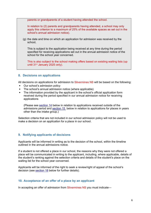parents or grandparents of a student having attended the school.

In relation to (2) parents and grandparents having attended, a school may only apply this criterion to a maximum of 25% of the available spaces as set out in the school's annual admission notice).

(g) the date and time on which an application for admission was received by the school,

This is subject to the application being received at any time during the period specified for receiving applications set out in the annual admission notice of the school for the school year concerned.

This is also subject to the school making offers based on existing waiting lists (up until 31<sup>st</sup> January 2025 only).

# **8. Decisions on applications**

All decisions on applications for admission to Silvermines NS will be based on the following:

- Our school's admission policy
- The school's annual admission notice (where applicable)
- The information provided by the applicant in the school's official application form received during the period specified in our annual admission notice for receiving applications

(Please see section 14 below in relation to applications received outside of the admissions period and section 15 below in relation to applications for places in years other than the intake group.)

Selection criteria that are not included in our school admission policy will not be used to make a decision on an application for a place in our school.

# **9. Notifying applicants of decisions**

Applicants will be informed in writing as to the decision of the school, within the timeline outlined in the annual admissions notice.

If a student is not offered a place in our school, the reasons why they were not offered a place will be communicated in writing to the applicant, including, where applicable, details of the student's ranking against the selection criteria and details of the student's place on the waiting list for the school year concerned.

Applicants will be informed of the right to seek a review/right of appeal of the school's decision (see section 18 below for further details).

# **10. Acceptance of an offer of a place by an applicant**

In accepting an offer of admission from Silvermines NS you must indicate—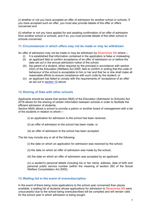(i) whether or not you have accepted an offer of admission for another school or schools. If you have accepted such an offer, you must also provide details of the offer or offers concerned and

(ii) whether or not you have applied for and awaiting confirmation of an offer of admission from another school or schools, and if so, you must provide details of the other school or schools concerned.

#### **11.Circumstances in which offers may not be made or may be withdrawn**

An offer of admission may not be made or may be withdrawn by Silvermines NS where—

- (i) it is established that information contained in the application is false or misleading.
- (ii) an applicant fails to confirm acceptance of an offer of admission on or before the date set out in the annual admission notice of the school.
- (iii) the parent of a student, when required by the principal in accordance with section 23(4) of the Education (Welfare) Act 2000, fails to confirm in writing that the code of behaviour of the school is acceptable to him or her and that he or she shall make all reasonable efforts to ensure compliance with such code by the student; or
- (iv) an applicant has failed to comply with the requirements of 'acceptance of an offer' as set out in section 10 above.

# **12.Sharing of Data with other schools**

Applicants should be aware that section 66(6) of the Education (Admission to Schools) Act 2018 allows for the sharing of certain information between schools in order to facilitate the efficient admission of students.

Section 66(6) allows a school to provide a patron or another board of management with a list of the students in relation to whom—

- (i) an application for admission to the school has been received,
- (ii) an offer of admission to the school has been made, or
- (iii) an offer of admission to the school has been accepted.

The list may include any or all of the following:

- (i) the date on which an application for admission was received by the school;
- (ii) the date on which an offer of admission was made by the school;
- (iii) the date on which an offer of admission was accepted by an applicant;

(iv) a student's personal details including his or her name, address, date of birth and personal public service number (within the meaning of section 262 of the Social Welfare Consolidation Act 2005).

# **13.Waiting list in the event of oversubscription**

In the event of there being more applications to the school year concerned than places available, a waiting list of students whose applications for admission to Silvermines NS were unsuccessful due to the school being oversubscribed will be compiled and will remain valid for the school year in which admission is being sought.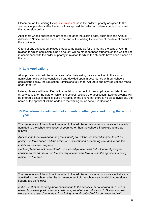Placement on the waiting list of Silvermines NS is in the order of priority assigned to the students' applications after the school has applied the selection criteria in accordance with this admission policy.

Applicants whose applications are received after the closing date, outlined in the Annual Admission Notice, will be placed at the end of the waiting list in order of the date of receipt of the application.

Offers of any subsequent places that become available for and during the school year in relation to which admission is being sought will be made to those students on the waiting list, in accordance with the order of priority in relation to which the students have been placed on the list.

#### **14.Late Applications**

All applications for admission received after the closing date as outlined in the annual admission notice will be considered and decided upon in accordance with our school's admissions policy, the Education Admissions to School Act 2018 and any regulations made under that Act.

Late applicants will be notified of the decision in respect of their application no later than three weeks after the date on which the school received the application. Late applicants will be offered a place if there is place available. In the event that there is no place available, the name of the applicant will be added to the waiting list as set out in Section 13.

# **15.Procedures for admission of students to other years and during the school year**

The procedures of the school in relation to the admission of students who are not already admitted to the school to classes or years other than the school's intake group are as follows:

*Applications for enrolment during the school year will be considered subject to school policy, available space and the provision of information concerning attendance and the child's educational progress.*

*Such applications will be dealt with on a case-by-case basis but will normally only be considered for admission on the first day of each new term unless the applicant is newly resident in the area.*

The procedures of the school in relation to the admission of students who are not already admitted to the school, after the commencement of the school year in which admission is sought, are as follows:

*In the event of there being more applications to the school year concerned than places available, a waiting list of students whose applications for admission to Silvermines NS were unsuccessful due to the school being oversubscribed will be compiled and will*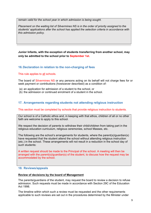*remain valid for the school year in which admission is being sought.*

*Placement on the waiting list of Silvermines NS is in the order of priority assigned to the students' applications after the school has applied the selection criteria in accordance with this admission policy.* 

**Junior Infants, with the exception of students transferring from another school, may only be admitted to the school prior to September 1st.**

# **16.Declaration in relation to the non-charging of fees**

This rule applies to all schools.

The board of Silvermines NS or any persons acting on its behalf will not charge fees for or seek payment or contributions (howsoever described) as a condition of-

- (a) an application for admission of a student to the school, or
- (b) the admission or continued enrolment of a student in the school.

# **17. Arrangements regarding students not attending religious instruction**

#### This section must be completed by schools that provide religious instruction to students.

Our school is of a Catholic ethos and, in keeping with that ethos, children of all or no other faith are welcome to apply to this school.

We respect the decision of parents to withdraw their child/children from taking part in the religious education curriculum, religious ceremonies, school Masses, etc.

The following are the school's arrangements for students, where the parent(s)/guardian(s) have requested that the student attend the school without attending religious instruction (etc.) in the school. These arrangements will not result in a reduction in the school day of such students:

A written request should be made to the Principal of the school. A meeting will then be arranged with the parent(s)/guardian(s) of the student, to discuss how the request may be accommodated by the school.

#### **18. Reviews/appeals**

#### **Review of decisions by the board of Management**

The parents/guardians of the student, may request the board to review a decision to refuse admission. Such requests must be made in accordance with Section 29C of the Education Act 1998.

The timeline within which such a review must be requested and the other requirements applicable to such reviews are set out in the procedures determined by the Minister under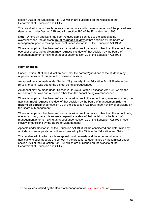section 29B of the Education Act 1998 which are published on the website of the Department of Education and Skills.

The board will conduct such reviews in accordance with the requirements of the procedures determined under Section 29B and with section 29C of the Education Act 1998.

**Note:** Where an applicant has been refused admission due to the school being oversubscribed, the applicant **must request a review** of that decision by the board of management prior to making an appeal under section 29 of the Education Act 1998.

Where an applicant has been refused admission due to a reason other than the school being oversubscribed, the applicant **may request a review** of that decision by the board of management prior to making an appeal under section 29 of the Education Act 1998.

#### **Right of appeal**

Under Section 29 of the Education Act 1998, the parents/guardians of the student, may appeal a decision of this school to refuse admission.

An appeal may be made under Section 29 (1) (c) (i) of the Education Act 1998 where the refusal to admit was due to the school being oversubscribed.

An appeal may be made under Section 29 (1) (c) (ii) of the Education Act 1998 where the refusal to admit was due a reason other than the school being oversubscribed.

Where an applicant has been refused admission due to the school being oversubscribed, the applicant **must request a review** of that decision by the board of management **prior to making an appeal** under section 29 of the Education Act 1998. (see Review of decisions by the Board of Management)

Where an applicant has been refused admission due to a reason other than the school being oversubscribed, the applicant **may request a review** of that decision by the board of management prior to making an appeal under section 29 of the Education Act 1998. (see Review of decisions by the Board of Management)

Appeals under Section 29 of the Education Act 1998 will be considered and determined by an independent appeals committee appointed by the Minister for Education and Skills.

The timeline within which such an appeal must be made and the other requirements applicable to such appeals are set out in the procedures determined by the Minister under section 29B of the Education Act 1998 which are published on the website of the Department of Education and Skills.

The policy was ratified by the Board of Management of Silvermines NS on  $\sim$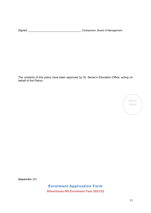Signed: \_\_\_\_\_\_\_\_\_\_\_\_\_\_\_\_\_\_\_\_\_\_\_\_\_\_\_\_\_\_\_\_\_\_ Chairperson, Board of Management

The contents of this policy have been approved by St. Senan's Education Office, acting on behalf of the Patron.

> *Official Stamp*

**Appendix (1)**

**Enrolment Application Form Silvermines NS Enrolment Year 2021/22**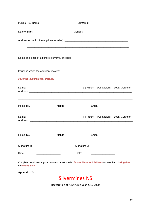|                                       |                                                                                         |       | <u> 1989 - Johann Stoff, amerikan bestein besteht aus dem Berlingen aus dem Berlingen aus dem Berlingen aus dem B</u> |
|---------------------------------------|-----------------------------------------------------------------------------------------|-------|-----------------------------------------------------------------------------------------------------------------------|
|                                       |                                                                                         |       | Name and class of Sibling(s) currently enrolled:<br>Mame and class of Sibling(s) currently enrolled:                  |
|                                       |                                                                                         |       |                                                                                                                       |
| <b>Parent(s)/Guardian(s) Details:</b> |                                                                                         |       |                                                                                                                       |
|                                       |                                                                                         |       |                                                                                                                       |
|                                       |                                                                                         |       | ,我们也不能在这里的人,我们也不能在这里的人,我们也不能不能不能不能不能不能不能不能不能不能不能不能不能。""我们的人,我们也不能不能不能不能不能不能不能不能不能                                     |
|                                       |                                                                                         |       |                                                                                                                       |
|                                       | Home Tel. _________________________Mobile ________________________Email. ______________ |       |                                                                                                                       |
|                                       |                                                                                         |       |                                                                                                                       |
| Date:                                 |                                                                                         | Date: | the control of the control of the control of the                                                                      |
|                                       |                                                                                         |       | Completed opplication must be returned to Rebeck Name and Address no later than electing time                         |

Completed enrolment applications must be returned to **School Name and Address** no later than **closing time** on **closing date**.

**Appendix (2)**



Registration of New Pupils Year 2019-2020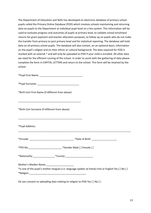The Department of Education and Skills has developed an electronic database of primary school pupils called the Primary Online Database (POD) which involves schools maintaining and returning data on pupils to the Department at individual pupil level on a live system. This information will be used to evaluate progress and outcomes of pupils at primary level, to validate school enrolment returns for grant payment and teacher allocation purposes, to follow up on pupils who do not make the transfer from primary to post primary level and for statistical reporting. The database will hold data on all primary school pupils. The database will also contain, on an optional basis, information on the pupil's religion and on their ethnic or cultural background. The data required for POD is marked with an asterisk \* and will only be uploaded to POD if your child is enrolled. All other data we need for the efficient running of the school. In order to assist with the gathering of data please complete the form in CAPITAL LETTERS and return to the school. This form will be retained by the school.

\*Pupil First Name: \_\_\_\_\_\_\_\_\_\_\_\_\_\_\_\_\_\_\_\_\_\_\_\_\_\_\_\_\_\_\_

\*Pupil Surname: \_\_\_\_\_\_\_\_\_\_\_\_\_\_\_\_\_\_\_\_\_\_\_\_\_\_\_\_\_\_

\*Birth Cert First Name (if different from above)

| *Birth Cert Surname (if different from above) |                 |  |
|-----------------------------------------------|-----------------|--|
|                                               |                 |  |
| *Pupil Address:                               |                 |  |
| *Eircode:                                     | *Date of Birth: |  |

| *PPS No: | *Gender Male [] Female [] |
|----------|---------------------------|
|----------|---------------------------|

\*Nationality:\_\_\_\_\_\_\_\_\_\_\_\_\_\_\_\_\*County:\_\_\_\_\_\_\_\_\_\_\_\_\_\_\_\_\_\_\_\_

Mother's Maiden Name:

\*Is one of the pupil's mother tongues (i.e. language spoken at home) Irish or English Yes [ ] No [ ] \*Religion \_\_\_\_\_\_\_\_\_\_\_\_\_\_\_\_\_\_\_\_\_\_\_\_\_\_\_\_\_\_\_\_\_\_\_\_\_\_\_\_\_

Do you consent to uploading data relating to religion to POD Yes [ ] No [ ]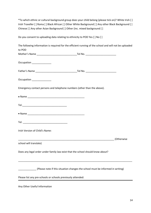\*To which ethnic or cultural background group does your child belong (please tick on)? White Irish [ ] Irish Traveller [ ] Roma [ ] Black African [ ] Other White Background [ ] Any other Black Background [ ] Chinese [ ] Any other Asian Background [ ] Other (inc. mixed background [ ]

Do you consent to uploading data relating to ethnicity to POD Yes [ ] No [ ]

|                                                             |                                                                                | The following information is required for the efficient running of the school and will not be uploaded |
|-------------------------------------------------------------|--------------------------------------------------------------------------------|--------------------------------------------------------------------------------------------------------|
| to POD                                                      |                                                                                |                                                                                                        |
|                                                             |                                                                                |                                                                                                        |
| Occupation ______________                                   |                                                                                |                                                                                                        |
|                                                             |                                                                                |                                                                                                        |
| Occupation _____________                                    |                                                                                |                                                                                                        |
|                                                             | Emergency contact persons and telephone numbers (other than the above).        |                                                                                                        |
|                                                             |                                                                                |                                                                                                        |
|                                                             |                                                                                |                                                                                                        |
|                                                             |                                                                                |                                                                                                        |
|                                                             |                                                                                |                                                                                                        |
| Irish Version of Child's Name:                              |                                                                                |                                                                                                        |
|                                                             |                                                                                |                                                                                                        |
| school will translate)                                      |                                                                                |                                                                                                        |
|                                                             | Does any legal order under family law exist that the school should know about? |                                                                                                        |
|                                                             | (Please note if this situation changes the school must be informed in writing) |                                                                                                        |
| Please list any pre-schools or schools previously attended: |                                                                                |                                                                                                        |
| Any Other Useful Information                                |                                                                                |                                                                                                        |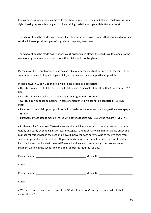For instance, list any problems the child may have in relation to health, (allergies, epilepsy, asthma, sight, hearing, speech, fainting, etc), toilet-training, inability to cope with buttons, laces etc.

The school should be made aware of any Early Intervention or Assessments that your child may have received. Please provide copies of any relevant reports/assessments.

The school should be made aware of any court order, which affects the child's welfare and also the name of any person into whose custody the child should not be given.

Please make the school aware as early as possible of any family situation such as bereavement, or separation that could impact on your child, so that we can be as supportive as possible.

Please answer YES or NO to the following (please circle as appropriate):

\_\_\_\_\_\_\_\_\_\_\_\_\_

\_\_\_\_\_\_\_\_\_\_\_\_\_

 Our child is allowed to take part in the Relationships & Sexuality Education (RSE) Programme: YES : NO

Our child is allowed take part in The Stay Safe Programme: YES : NO

 Our child can be taken to hospital in case of emergency if we cannot be contacted: YES : NO PTO/………..

 Inclusion of our child's photographs on school website, newsletters or a local/national newspaper: YES : NO

Parental contact details may be shared with other agencies e.g. H.S.E., who require it: YES : NO

 In Lissenhall N.S. we use a Text-a-Parent service which enables us to communicate with parents quickly and easily by sending instant text messages. To keep costs to a minimum please enter one number for this service in the section below. If, however both parents wish to receive texts from school simply enter details of both. All parent and emergency contact details from enrolment are kept on file in school and will be used if needed and in case of emergency. We also use an epayment system in the school and an e-mail address is required for this.

|                                                                                                                                 | Mobile No:                                                           |
|---------------------------------------------------------------------------------------------------------------------------------|----------------------------------------------------------------------|
| E-mail:<br><u> 1989 - Johann Stein, mars an deutscher Stein und der Stein und der Stein und der Stein und der Stein und der</u> |                                                                      |
| Parent's name:                                                                                                                  | Mobile No:<br><u> 1980 - Jan Stein Berlin, amerikansk politiker </u> |
| E-mail:                                                                                                                         |                                                                      |

 We have received and read a copy of the "Code of Behaviour" and agree our child will abide by same: YES : NO